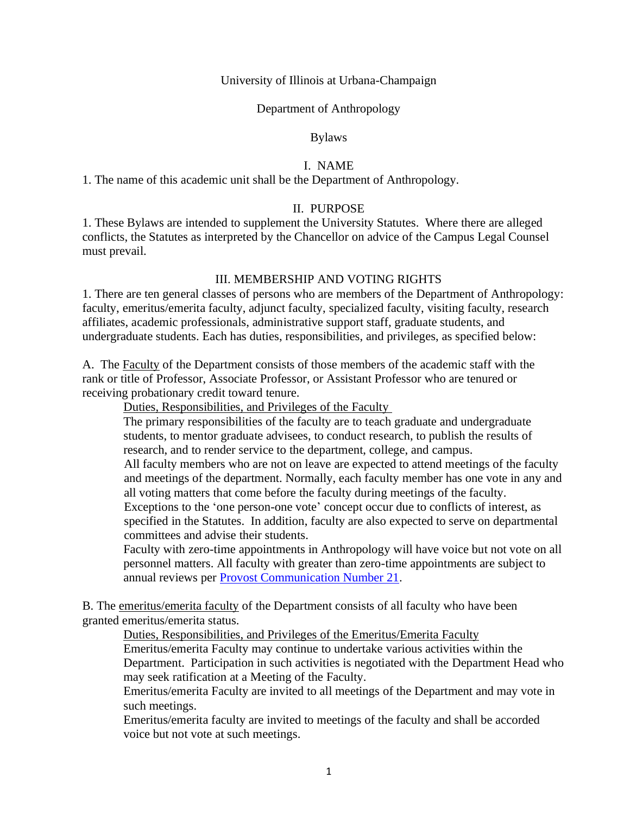University of Illinois at Urbana-Champaign

Department of Anthropology

Bylaws

### I. NAME

1. The name of this academic unit shall be the Department of Anthropology.

### II. PURPOSE

1. These Bylaws are intended to supplement the University Statutes. Where there are alleged conflicts, the Statutes as interpreted by the Chancellor on advice of the Campus Legal Counsel must prevail.

### III. MEMBERSHIP AND VOTING RIGHTS

1. There are ten general classes of persons who are members of the Department of Anthropology: faculty, emeritus/emerita faculty, adjunct faculty, specialized faculty, visiting faculty, research affiliates, academic professionals, administrative support staff, graduate students, and undergraduate students. Each has duties, responsibilities, and privileges, as specified below:

A. The Faculty of the Department consists of those members of the academic staff with the rank or title of Professor, Associate Professor, or Assistant Professor who are tenured or receiving probationary credit toward tenure.

Duties, Responsibilities, and Privileges of the Faculty

The primary responsibilities of the faculty are to teach graduate and undergraduate students, to mentor graduate advisees, to conduct research, to publish the results of research, and to render service to the department, college, and campus.

All faculty members who are not on leave are expected to attend meetings of the faculty and meetings of the department. Normally, each faculty member has one vote in any and all voting matters that come before the faculty during meetings of the faculty.

Exceptions to the 'one person-one vote' concept occur due to conflicts of interest, as specified in the Statutes. In addition, faculty are also expected to serve on departmental committees and advise their students.

Faculty with zero-time appointments in Anthropology will have voice but not vote on all personnel matters. All faculty with greater than zero-time appointments are subject to annual reviews per [Provost Communication Number 21.](https://provost.illinois.edu/policies/provosts-communications/communication-21-annual-faculty-review/)

B. The emeritus/emerita faculty of the Department consists of all faculty who have been granted emeritus/emerita status.

Duties, Responsibilities, and Privileges of the Emeritus/Emerita Faculty

Emeritus/emerita Faculty may continue to undertake various activities within the Department. Participation in such activities is negotiated with the Department Head who may seek ratification at a Meeting of the Faculty.

Emeritus/emerita Faculty are invited to all meetings of the Department and may vote in such meetings.

Emeritus/emerita faculty are invited to meetings of the faculty and shall be accorded voice but not vote at such meetings.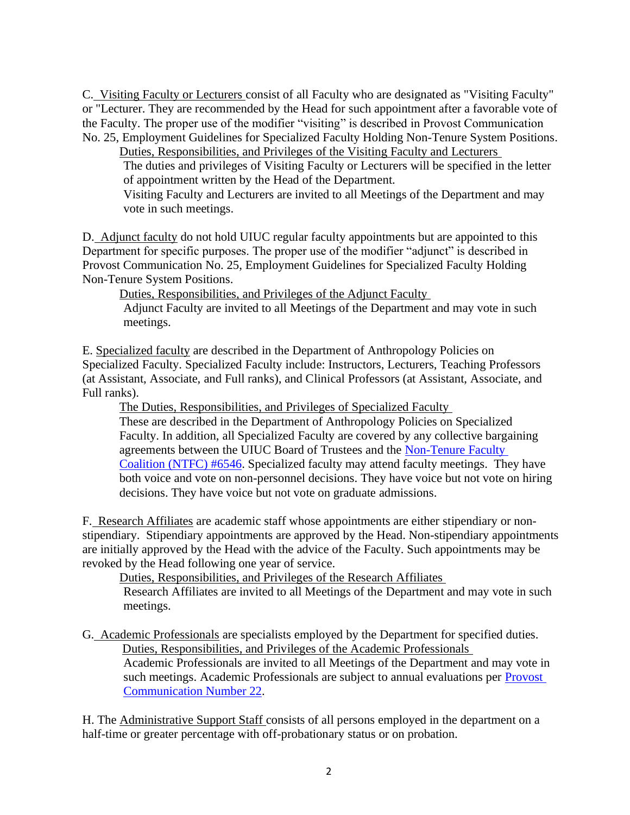C. Visiting Faculty or Lecturers consist of all Faculty who are designated as "Visiting Faculty" or "Lecturer. They are recommended by the Head for such appointment after a favorable vote of the Faculty. The proper use of the modifier "visiting" is described in Provost Communication No. 25, Employment Guidelines for Specialized Faculty Holding Non-Tenure System Positions.

Duties, Responsibilities, and Privileges of the Visiting Faculty and Lecturers The duties and privileges of Visiting Faculty or Lecturers will be specified in the letter of appointment written by the Head of the Department.

Visiting Faculty and Lecturers are invited to all Meetings of the Department and may vote in such meetings.

D. Adjunct faculty do not hold UIUC regular faculty appointments but are appointed to this Department for specific purposes. The proper use of the modifier "adjunct" is described in Provost Communication No. 25, Employment Guidelines for Specialized Faculty Holding Non-Tenure System Positions.

Duties, Responsibilities, and Privileges of the Adjunct Faculty

Adjunct Faculty are invited to all Meetings of the Department and may vote in such meetings.

E. Specialized faculty are described in the Department of Anthropology Policies on Specialized Faculty. Specialized Faculty include: Instructors, Lecturers, Teaching Professors (at Assistant, Associate, and Full ranks), and Clinical Professors (at Assistant, Associate, and Full ranks).

The Duties, Responsibilities, and Privileges of Specialized Faculty These are described in the Department of Anthropology Policies on Specialized Faculty. In addition, all Specialized Faculty are covered by any collective bargaining agreements between the UIUC Board of Trustees and the Non-Tenure Faculty [Coalition \(NTFC\) #6546.](http://www.local6546.org/) Specialized faculty may attend faculty meetings. They have both voice and vote on non-personnel decisions. They have voice but not vote on hiring decisions. They have voice but not vote on graduate admissions.

F. Research Affiliates are academic staff whose appointments are either stipendiary or nonstipendiary. Stipendiary appointments are approved by the Head. Non-stipendiary appointments are initially approved by the Head with the advice of the Faculty. Such appointments may be revoked by the Head following one year of service.

Duties, Responsibilities, and Privileges of the Research Affiliates

Research Affiliates are invited to all Meetings of the Department and may vote in such meetings.

G. Academic Professionals are specialists employed by the Department for specified duties. Duties, Responsibilities, and Privileges of the Academic Professionals Academic Professionals are invited to all Meetings of the Department and may vote in such meetings. Academic Professionals are subject to annual evaluations per [Provost](https://provost.illinois.edu/policies/provosts-communications/communication-22-annual-review-of-academic-professional-employees/)  [Communication Number 22.](https://provost.illinois.edu/policies/provosts-communications/communication-22-annual-review-of-academic-professional-employees/)

H. The Administrative Support Staff consists of all persons employed in the department on a half-time or greater percentage with off-probationary status or on probation.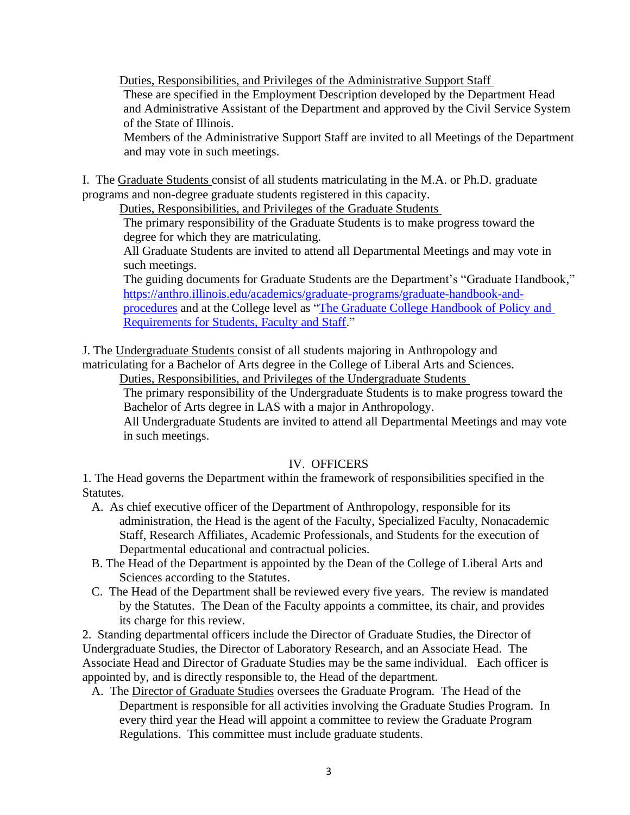Duties, Responsibilities, and Privileges of the Administrative Support Staff These are specified in the Employment Description developed by the Department Head and Administrative Assistant of the Department and approved by the Civil Service System of the State of Illinois.

Members of the Administrative Support Staff are invited to all Meetings of the Department and may vote in such meetings.

I. The Graduate Students consist of all students matriculating in the M.A. or Ph.D. graduate programs and non-degree graduate students registered in this capacity.

Duties, Responsibilities, and Privileges of the Graduate Students

The primary responsibility of the Graduate Students is to make progress toward the degree for which they are matriculating.

All Graduate Students are invited to attend all Departmental Meetings and may vote in such meetings.

The guiding documents for Graduate Students are the Department's "Graduate Handbook," [https://anthro.illinois.edu/academics/graduate-programs/graduate-handbook-and](https://anthro.illinois.edu/academics/graduate-programs/graduate-handbook-and-procedures)[procedures](https://anthro.illinois.edu/academics/graduate-programs/graduate-handbook-and-procedures) and at the College level as ["The Graduate College Handbook of Policy and](https://grad.illinois.edu/gradhandbook)  [Requirements for Students, Faculty and Staff.](https://grad.illinois.edu/gradhandbook)"

J. The Undergraduate Students consist of all students majoring in Anthropology and matriculating for a Bachelor of Arts degree in the College of Liberal Arts and Sciences.

Duties, Responsibilities, and Privileges of the Undergraduate Students

The primary responsibility of the Undergraduate Students is to make progress toward the Bachelor of Arts degree in LAS with a major in Anthropology.

All Undergraduate Students are invited to attend all Departmental Meetings and may vote in such meetings.

#### IV. OFFICERS

1. The Head governs the Department within the framework of responsibilities specified in the Statutes.

- A. As chief executive officer of the Department of Anthropology, responsible for its administration, the Head is the agent of the Faculty, Specialized Faculty, Nonacademic Staff, Research Affiliates, Academic Professionals, and Students for the execution of Departmental educational and contractual policies.
- B. The Head of the Department is appointed by the Dean of the College of Liberal Arts and Sciences according to the Statutes.
- C. The Head of the Department shall be reviewed every five years. The review is mandated by the Statutes. The Dean of the Faculty appoints a committee, its chair, and provides its charge for this review.

2. Standing departmental officers include the Director of Graduate Studies, the Director of Undergraduate Studies, the Director of Laboratory Research, and an Associate Head. The Associate Head and Director of Graduate Studies may be the same individual. Each officer is appointed by, and is directly responsible to, the Head of the department.

 A. The Director of Graduate Studies oversees the Graduate Program. The Head of the Department is responsible for all activities involving the Graduate Studies Program. In every third year the Head will appoint a committee to review the Graduate Program Regulations. This committee must include graduate students.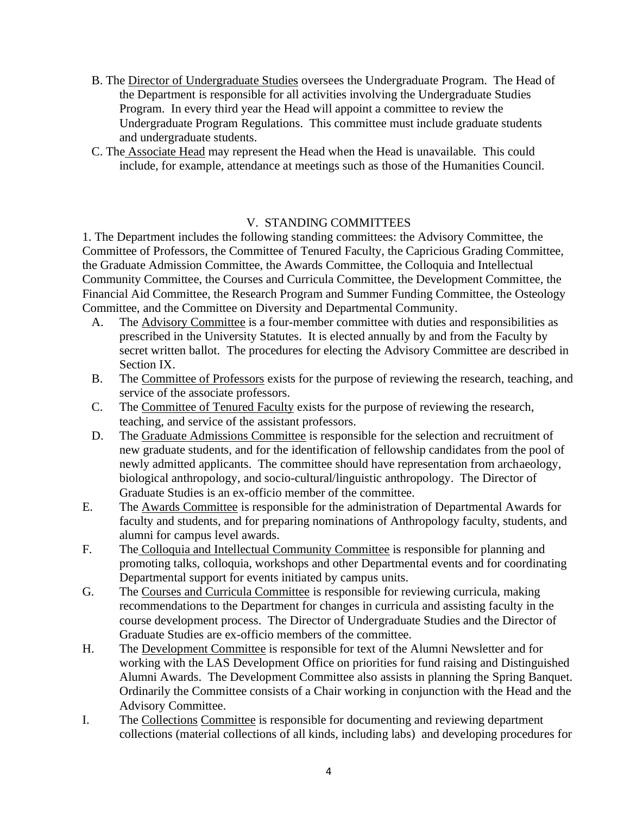- B. The Director of Undergraduate Studies oversees the Undergraduate Program. The Head of the Department is responsible for all activities involving the Undergraduate Studies Program. In every third year the Head will appoint a committee to review the Undergraduate Program Regulations. This committee must include graduate students and undergraduate students.
- C. The Associate Head may represent the Head when the Head is unavailable. This could include, for example, attendance at meetings such as those of the Humanities Council.

## V. STANDING COMMITTEES

1. The Department includes the following standing committees: the Advisory Committee, the Committee of Professors, the Committee of Tenured Faculty, the Capricious Grading Committee, the Graduate Admission Committee, the Awards Committee, the Colloquia and Intellectual Community Committee, the Courses and Curricula Committee, the Development Committee, the Financial Aid Committee, the Research Program and Summer Funding Committee, the Osteology Committee, and the Committee on Diversity and Departmental Community.

- A. The Advisory Committee is a four-member committee with duties and responsibilities as prescribed in the University Statutes. It is elected annually by and from the Faculty by secret written ballot. The procedures for electing the Advisory Committee are described in Section IX.
- B. The Committee of Professors exists for the purpose of reviewing the research, teaching, and service of the associate professors.
- C. The Committee of Tenured Faculty exists for the purpose of reviewing the research, teaching, and service of the assistant professors.
- D. The Graduate Admissions Committee is responsible for the selection and recruitment of new graduate students, and for the identification of fellowship candidates from the pool of newly admitted applicants. The committee should have representation from archaeology, biological anthropology, and socio-cultural/linguistic anthropology. The Director of Graduate Studies is an ex-officio member of the committee.
- E. The Awards Committee is responsible for the administration of Departmental Awards for faculty and students, and for preparing nominations of Anthropology faculty, students, and alumni for campus level awards.
- F. The Colloquia and Intellectual Community Committee is responsible for planning and promoting talks, colloquia, workshops and other Departmental events and for coordinating Departmental support for events initiated by campus units.
- G. The Courses and Curricula Committee is responsible for reviewing curricula, making recommendations to the Department for changes in curricula and assisting faculty in the course development process. The Director of Undergraduate Studies and the Director of Graduate Studies are ex-officio members of the committee.
- H. The Development Committee is responsible for text of the Alumni Newsletter and for working with the LAS Development Office on priorities for fund raising and Distinguished Alumni Awards. The Development Committee also assists in planning the Spring Banquet. Ordinarily the Committee consists of a Chair working in conjunction with the Head and the Advisory Committee.
- I. The Collections Committee is responsible for documenting and reviewing department collections (material collections of all kinds, including labs) and developing procedures for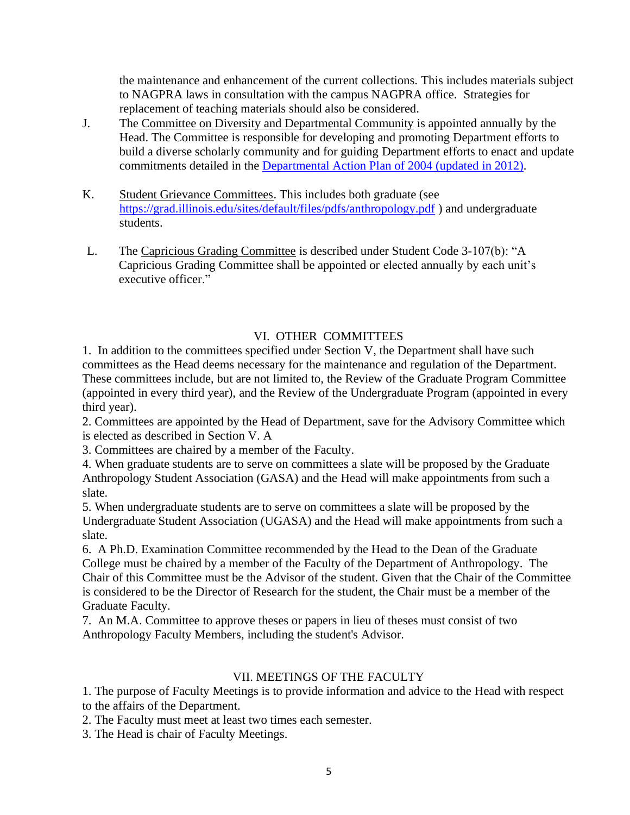the maintenance and enhancement of the current collections. This includes materials subject to NAGPRA laws in consultation with the campus NAGPRA office. Strategies for replacement of teaching materials should also be considered.

- J. The Committee on Diversity and Departmental Community is appointed annually by the Head. The Committee is responsible for developing and promoting Department efforts to build a diverse scholarly community and for guiding Department efforts to enact and update commitments detailed in the [Departmental Action Plan of 2004 \(updated in 2012\).](https://anthro.illinois.edu/resources/diversity-anthropology)
- K. Student Grievance Committees. This includes both graduate (see <https://grad.illinois.edu/sites/default/files/pdfs/anthropology.pdf> ) and undergraduate students.
- L. The Capricious Grading Committee is described under Student Code 3-107(b): "A Capricious Grading Committee shall be appointed or elected annually by each unit's executive officer."

# VI. OTHER COMMITTEES

1. In addition to the committees specified under Section V, the Department shall have such committees as the Head deems necessary for the maintenance and regulation of the Department. These committees include, but are not limited to, the Review of the Graduate Program Committee (appointed in every third year), and the Review of the Undergraduate Program (appointed in every third year).

2. Committees are appointed by the Head of Department, save for the Advisory Committee which is elected as described in Section V. A

3. Committees are chaired by a member of the Faculty.

4. When graduate students are to serve on committees a slate will be proposed by the Graduate Anthropology Student Association (GASA) and the Head will make appointments from such a slate.

5. When undergraduate students are to serve on committees a slate will be proposed by the Undergraduate Student Association (UGASA) and the Head will make appointments from such a slate.

6. A Ph.D. Examination Committee recommended by the Head to the Dean of the Graduate College must be chaired by a member of the Faculty of the Department of Anthropology. The Chair of this Committee must be the Advisor of the student. Given that the Chair of the Committee is considered to be the Director of Research for the student, the Chair must be a member of the Graduate Faculty.

7. An M.A. Committee to approve theses or papers in lieu of theses must consist of two Anthropology Faculty Members, including the student's Advisor.

## VII. MEETINGS OF THE FACULTY

1. The purpose of Faculty Meetings is to provide information and advice to the Head with respect to the affairs of the Department.

2. The Faculty must meet at least two times each semester.

3. The Head is chair of Faculty Meetings.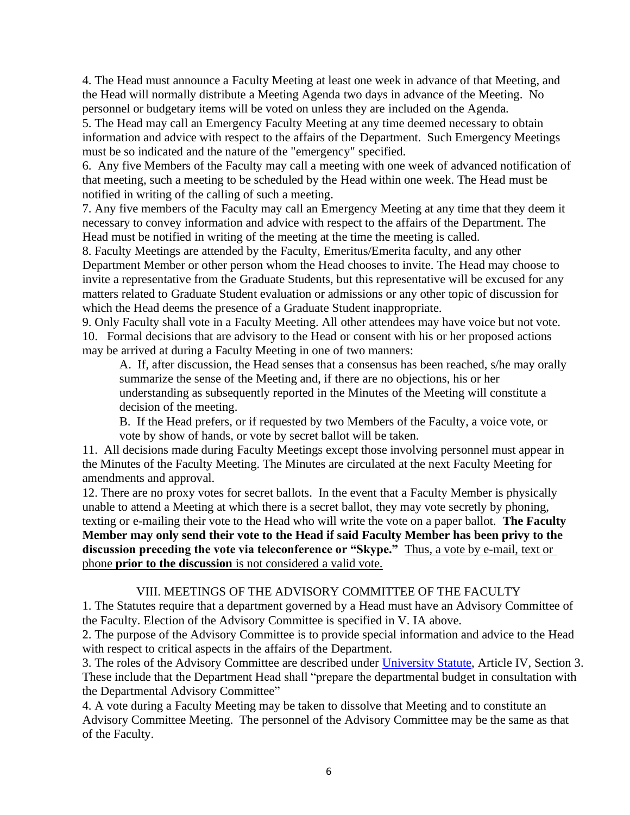4. The Head must announce a Faculty Meeting at least one week in advance of that Meeting, and the Head will normally distribute a Meeting Agenda two days in advance of the Meeting. No personnel or budgetary items will be voted on unless they are included on the Agenda.

5. The Head may call an Emergency Faculty Meeting at any time deemed necessary to obtain information and advice with respect to the affairs of the Department. Such Emergency Meetings must be so indicated and the nature of the "emergency" specified.

6. Any five Members of the Faculty may call a meeting with one week of advanced notification of that meeting, such a meeting to be scheduled by the Head within one week. The Head must be notified in writing of the calling of such a meeting.

7. Any five members of the Faculty may call an Emergency Meeting at any time that they deem it necessary to convey information and advice with respect to the affairs of the Department. The Head must be notified in writing of the meeting at the time the meeting is called.

8. Faculty Meetings are attended by the Faculty, Emeritus/Emerita faculty, and any other Department Member or other person whom the Head chooses to invite. The Head may choose to invite a representative from the Graduate Students, but this representative will be excused for any matters related to Graduate Student evaluation or admissions or any other topic of discussion for which the Head deems the presence of a Graduate Student inappropriate.

9. Only Faculty shall vote in a Faculty Meeting. All other attendees may have voice but not vote. 10. Formal decisions that are advisory to the Head or consent with his or her proposed actions may be arrived at during a Faculty Meeting in one of two manners:

A. If, after discussion, the Head senses that a consensus has been reached, s/he may orally summarize the sense of the Meeting and, if there are no objections, his or her understanding as subsequently reported in the Minutes of the Meeting will constitute a decision of the meeting.

B. If the Head prefers, or if requested by two Members of the Faculty, a voice vote, or vote by show of hands, or vote by secret ballot will be taken.

11. All decisions made during Faculty Meetings except those involving personnel must appear in the Minutes of the Faculty Meeting. The Minutes are circulated at the next Faculty Meeting for amendments and approval.

12. There are no proxy votes for secret ballots. In the event that a Faculty Member is physically unable to attend a Meeting at which there is a secret ballot, they may vote secretly by phoning, texting or e-mailing their vote to the Head who will write the vote on a paper ballot. **The Faculty Member may only send their vote to the Head if said Faculty Member has been privy to the discussion preceding the vote via teleconference or "Skype."** Thus, a vote by e-mail, text or phone **prior to the discussion** is not considered a valid vote.

## VIII. MEETINGS OF THE ADVISORY COMMITTEE OF THE FACULTY

1. The Statutes require that a department governed by a Head must have an Advisory Committee of the Faculty. Election of the Advisory Committee is specified in V. IA above.

2. The purpose of the Advisory Committee is to provide special information and advice to the Head with respect to critical aspects in the affairs of the Department.

3. The roles of the Advisory Committee are described under [University Statute,](https://www.bot.uillinois.edu/governance/statutes) Article IV, Section 3. These include that the Department Head shall "prepare the departmental budget in consultation with the Departmental Advisory Committee"

4. A vote during a Faculty Meeting may be taken to dissolve that Meeting and to constitute an Advisory Committee Meeting. The personnel of the Advisory Committee may be the same as that of the Faculty.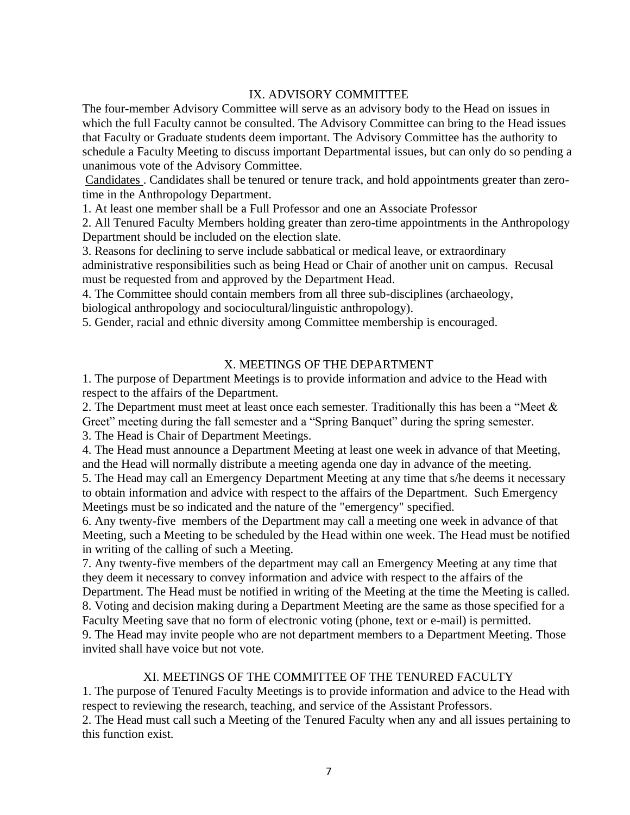### IX. ADVISORY COMMITTEE

The four-member Advisory Committee will serve as an advisory body to the Head on issues in which the full Faculty cannot be consulted. The Advisory Committee can bring to the Head issues that Faculty or Graduate students deem important. The Advisory Committee has the authority to schedule a Faculty Meeting to discuss important Departmental issues, but can only do so pending a unanimous vote of the Advisory Committee.

Candidates . Candidates shall be tenured or tenure track, and hold appointments greater than zerotime in the Anthropology Department.

1. At least one member shall be a Full Professor and one an Associate Professor

2. All Tenured Faculty Members holding greater than zero-time appointments in the Anthropology Department should be included on the election slate.

3. Reasons for declining to serve include sabbatical or medical leave, or extraordinary administrative responsibilities such as being Head or Chair of another unit on campus. Recusal must be requested from and approved by the Department Head.

4. The Committee should contain members from all three sub-disciplines (archaeology, biological anthropology and sociocultural/linguistic anthropology).

5. Gender, racial and ethnic diversity among Committee membership is encouraged.

#### X. MEETINGS OF THE DEPARTMENT

1. The purpose of Department Meetings is to provide information and advice to the Head with respect to the affairs of the Department.

2. The Department must meet at least once each semester. Traditionally this has been a "Meet & Greet" meeting during the fall semester and a "Spring Banquet" during the spring semester.

3. The Head is Chair of Department Meetings.

4. The Head must announce a Department Meeting at least one week in advance of that Meeting, and the Head will normally distribute a meeting agenda one day in advance of the meeting.

5. The Head may call an Emergency Department Meeting at any time that s/he deems it necessary to obtain information and advice with respect to the affairs of the Department. Such Emergency Meetings must be so indicated and the nature of the "emergency" specified.

6. Any twenty-five members of the Department may call a meeting one week in advance of that Meeting, such a Meeting to be scheduled by the Head within one week. The Head must be notified in writing of the calling of such a Meeting.

7. Any twenty-five members of the department may call an Emergency Meeting at any time that they deem it necessary to convey information and advice with respect to the affairs of the Department. The Head must be notified in writing of the Meeting at the time the Meeting is called. 8. Voting and decision making during a Department Meeting are the same as those specified for a

Faculty Meeting save that no form of electronic voting (phone, text or e-mail) is permitted. 9. The Head may invite people who are not department members to a Department Meeting. Those

invited shall have voice but not vote.

#### XI. MEETINGS OF THE COMMITTEE OF THE TENURED FACULTY

1. The purpose of Tenured Faculty Meetings is to provide information and advice to the Head with respect to reviewing the research, teaching, and service of the Assistant Professors. 2. The Head must call such a Meeting of the Tenured Faculty when any and all issues pertaining to this function exist.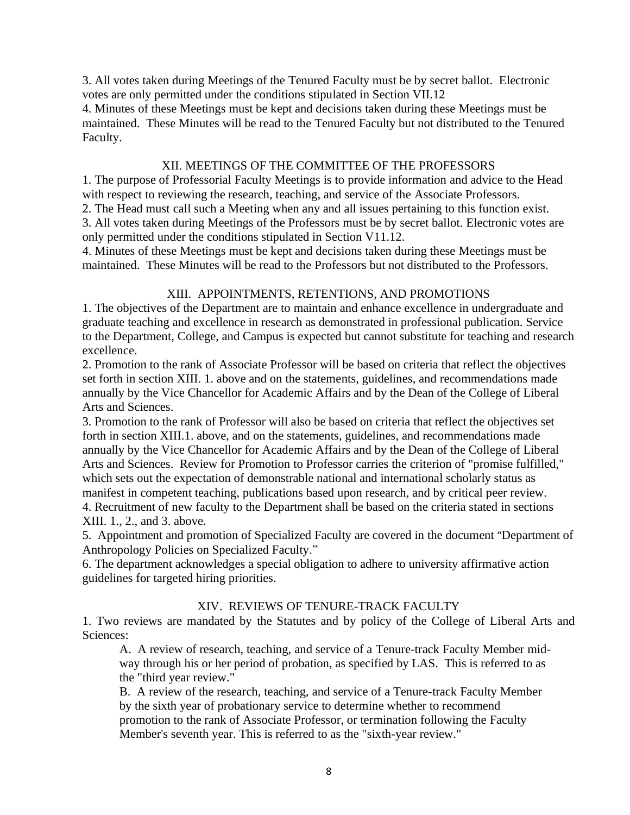3. All votes taken during Meetings of the Tenured Faculty must be by secret ballot. Electronic votes are only permitted under the conditions stipulated in Section VII.12

4. Minutes of these Meetings must be kept and decisions taken during these Meetings must be maintained. These Minutes will be read to the Tenured Faculty but not distributed to the Tenured Faculty.

### XII. MEETINGS OF THE COMMITTEE OF THE PROFESSORS

1. The purpose of Professorial Faculty Meetings is to provide information and advice to the Head with respect to reviewing the research, teaching, and service of the Associate Professors.

2. The Head must call such a Meeting when any and all issues pertaining to this function exist.

3. All votes taken during Meetings of the Professors must be by secret ballot. Electronic votes are only permitted under the conditions stipulated in Section V11.12.

4. Minutes of these Meetings must be kept and decisions taken during these Meetings must be maintained. These Minutes will be read to the Professors but not distributed to the Professors.

### XIII. APPOINTMENTS, RETENTIONS, AND PROMOTIONS

1. The objectives of the Department are to maintain and enhance excellence in undergraduate and graduate teaching and excellence in research as demonstrated in professional publication. Service to the Department, College, and Campus is expected but cannot substitute for teaching and research excellence.

2. Promotion to the rank of Associate Professor will be based on criteria that reflect the objectives set forth in section XIII. 1. above and on the statements, guidelines, and recommendations made annually by the Vice Chancellor for Academic Affairs and by the Dean of the College of Liberal Arts and Sciences.

3. Promotion to the rank of Professor will also be based on criteria that reflect the objectives set forth in section XIII.1. above, and on the statements, guidelines, and recommendations made annually by the Vice Chancellor for Academic Affairs and by the Dean of the College of Liberal Arts and Sciences. Review for Promotion to Professor carries the criterion of "promise fulfilled," which sets out the expectation of demonstrable national and international scholarly status as manifest in competent teaching, publications based upon research, and by critical peer review. 4. Recruitment of new faculty to the Department shall be based on the criteria stated in sections XIII. 1., 2., and 3. above.

5. Appointment and promotion of Specialized Faculty are covered in the document "Department of Anthropology Policies on Specialized Faculty."

6. The department acknowledges a special obligation to adhere to university affirmative action guidelines for targeted hiring priorities.

## XIV. REVIEWS OF TENURE-TRACK FACULTY

1. Two reviews are mandated by the Statutes and by policy of the College of Liberal Arts and Sciences:

A. A review of research, teaching, and service of a Tenure-track Faculty Member midway through his or her period of probation, as specified by LAS. This is referred to as the "third year review."

B. A review of the research, teaching, and service of a Tenure-track Faculty Member by the sixth year of probationary service to determine whether to recommend promotion to the rank of Associate Professor, or termination following the Faculty Member's seventh year. This is referred to as the "sixth-year review."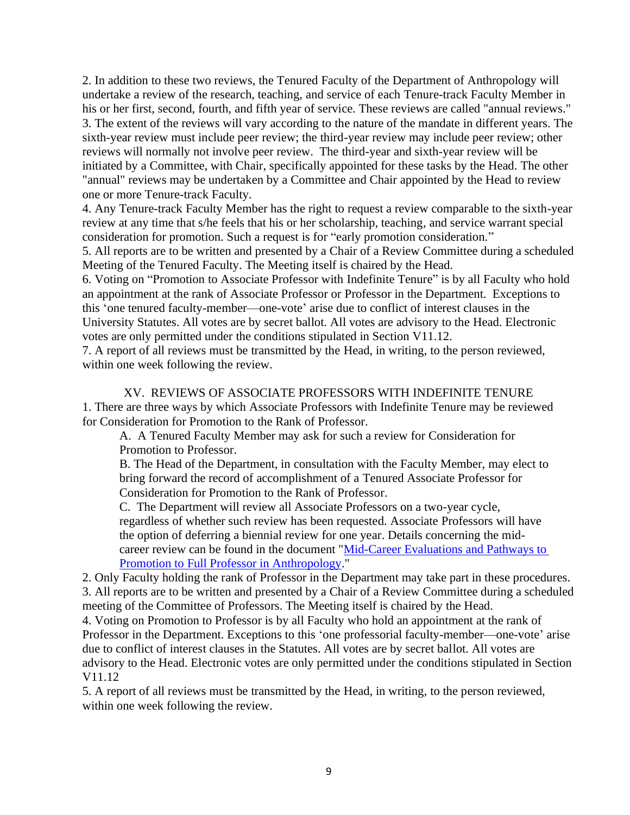2. In addition to these two reviews, the Tenured Faculty of the Department of Anthropology will undertake a review of the research, teaching, and service of each Tenure-track Faculty Member in his or her first, second, fourth, and fifth year of service. These reviews are called "annual reviews." 3. The extent of the reviews will vary according to the nature of the mandate in different years. The sixth-year review must include peer review; the third-year review may include peer review; other reviews will normally not involve peer review. The third-year and sixth-year review will be initiated by a Committee, with Chair, specifically appointed for these tasks by the Head. The other "annual" reviews may be undertaken by a Committee and Chair appointed by the Head to review one or more Tenure-track Faculty.

4. Any Tenure-track Faculty Member has the right to request a review comparable to the sixth-year review at any time that s/he feels that his or her scholarship, teaching, and service warrant special consideration for promotion. Such a request is for "early promotion consideration."

5. All reports are to be written and presented by a Chair of a Review Committee during a scheduled Meeting of the Tenured Faculty. The Meeting itself is chaired by the Head.

6. Voting on "Promotion to Associate Professor with Indefinite Tenure" is by all Faculty who hold an appointment at the rank of Associate Professor or Professor in the Department. Exceptions to this 'one tenured faculty-member—one-vote' arise due to conflict of interest clauses in the University Statutes. All votes are by secret ballot. All votes are advisory to the Head. Electronic votes are only permitted under the conditions stipulated in Section V11.12.

7. A report of all reviews must be transmitted by the Head, in writing, to the person reviewed, within one week following the review.

XV. REVIEWS OF ASSOCIATE PROFESSORS WITH INDEFINITE TENURE 1. There are three ways by which Associate Professors with Indefinite Tenure may be reviewed for Consideration for Promotion to the Rank of Professor.

A. A Tenured Faculty Member may ask for such a review for Consideration for Promotion to Professor.

B. The Head of the Department, in consultation with the Faculty Member, may elect to bring forward the record of accomplishment of a Tenured Associate Professor for Consideration for Promotion to the Rank of Professor.

C. The Department will review all Associate Professors on a two-year cycle, regardless of whether such review has been requested. Associate Professors will have the option of deferring a biennial review for one year. Details concerning the midcareer review can be found in the document "Mid-Career Evaluations and Pathways to [Promotion to Full Professor in Anthropology.](https://anthro.illinois.edu/sites/default/files/inline-files/MidcareerEval.pdf)"

2. Only Faculty holding the rank of Professor in the Department may take part in these procedures. 3. All reports are to be written and presented by a Chair of a Review Committee during a scheduled meeting of the Committee of Professors. The Meeting itself is chaired by the Head.

4. Voting on Promotion to Professor is by all Faculty who hold an appointment at the rank of Professor in the Department. Exceptions to this 'one professorial faculty-member—one-vote' arise due to conflict of interest clauses in the Statutes. All votes are by secret ballot. All votes are advisory to the Head. Electronic votes are only permitted under the conditions stipulated in Section V11.12

5. A report of all reviews must be transmitted by the Head, in writing, to the person reviewed, within one week following the review.